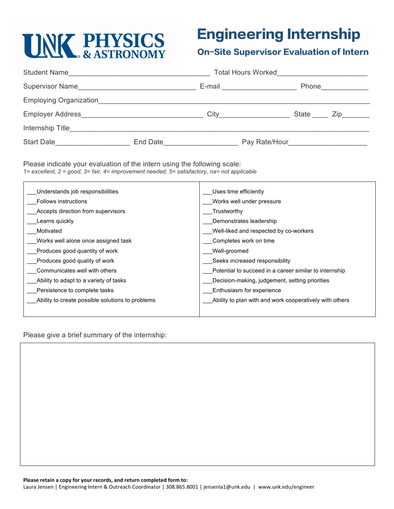## **UNK PHYSICS**

## Engineering Internship

## On-Site Supervisor Evaluation of Intern

| Student Name                                                     |          | Total Hours Worked Total Hours                                                                                |                           |  |
|------------------------------------------------------------------|----------|---------------------------------------------------------------------------------------------------------------|---------------------------|--|
|                                                                  |          | E-mail 2008 2014 2022 2023 2024 2022 2022 2023 2024 2022 2023 2024 2022 2023 2024 2025 2026 2027 2028 2021 20 | Phone <u>____________</u> |  |
| Employing Organization                                           |          |                                                                                                               |                           |  |
| Employer Address <b>Employer</b> Address <b>Employer</b> Address |          | <b>City City</b>                                                                                              | State Zip                 |  |
| Internship Title__________                                       |          |                                                                                                               |                           |  |
| Start Date                                                       | End Date | Pay Rate/Hour <b>National Property</b>                                                                        |                           |  |

Please indicate your evaluation of the intern using the following scale: *1= excellent, 2 = good, 3= fair, 4= improvement needed, 5= satisfactory, na= not applicable*

| Understands job responsibilities                 | Uses time efficiently                                   |  |
|--------------------------------------------------|---------------------------------------------------------|--|
| Follows instructions                             | Works well under pressure                               |  |
| Accepts direction from supervisors               | Trustworthy                                             |  |
| Learns quickly                                   | Demonstrates leadership                                 |  |
| Motivated                                        | Well-liked and respected by co-workers                  |  |
| Works well alone once assigned task              | Completes work on time                                  |  |
| Produces good quantity of work                   | Well-groomed                                            |  |
| Produces good quality of work                    | Seeks increased responsibility                          |  |
| Communicates well with others                    | Potential to succeed in a career similar to internship  |  |
| Ability to adapt to a variety of tasks           | Decision-making, judgement, setting priorities          |  |
| Persistence to complete tasks                    | Enthusiasm for experience                               |  |
| Ability to create possible solutions to problems | Ability to plan with and work cooperatively with others |  |
|                                                  |                                                         |  |

Please give a brief summary of the internship: